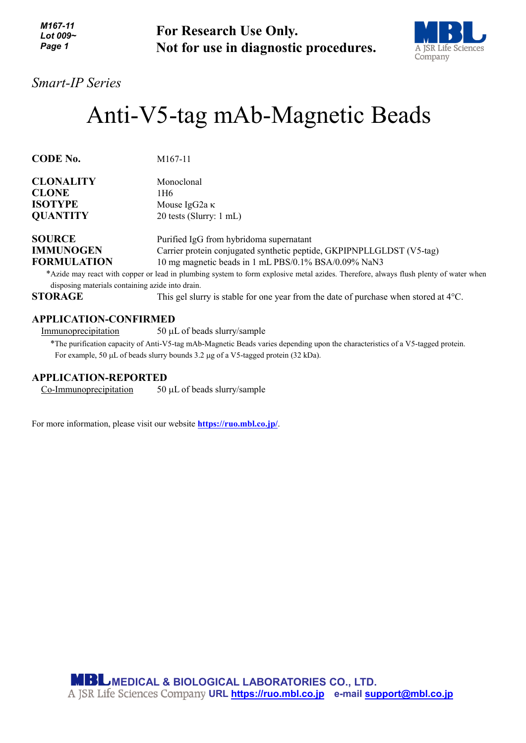| M167-11<br>Lot 009 $\sim$<br>Page 1 | <b>For Research Use Only.</b>         |
|-------------------------------------|---------------------------------------|
|                                     | Not for use in diagnostic procedures. |



*Smart-IP Series*

# Anti-V5-tag mAb-Magnetic Beads

| <b>CODE No.</b>    | M <sub>167</sub> -11                                                                                                                 |
|--------------------|--------------------------------------------------------------------------------------------------------------------------------------|
| <b>CLONALITY</b>   | Monoclonal                                                                                                                           |
| <b>CLONE</b>       | 1H6.                                                                                                                                 |
| <b>ISOTYPE</b>     | Mouse IgG2a $\kappa$                                                                                                                 |
| <b>QUANTITY</b>    | 20 tests (Slurry: 1 mL)                                                                                                              |
| <b>SOURCE</b>      | Purified IgG from hybridoma supernatant                                                                                              |
| <b>IMMUNOGEN</b>   | Carrier protein conjugated synthetic peptide, GKPIPNPLLGLDST (V5-tag)                                                                |
| <b>FORMULATION</b> | 10 mg magnetic beads in 1 mL PBS/0.1% BSA/0.09% NaN3                                                                                 |
|                    | *Azide may react with copper or lead in plumbing system to form explosive metal azides. Therefore, always flush plenty of water when |

disposing materials containing azide into drain.

**STORAGE** This gel slurry is stable for one year from the date of purchase when stored at 4°C.

## **APPLICATION-CONFIRMED**

Immunoprecipitation 50 µL of beads slurry/sample

\*The purification capacity of Anti-V5-tag mAb-Magnetic Beads varies depending upon the characteristics of a V5-tagged protein. For example, 50 µL of beads slurry bounds 3.2 µg of a V5-tagged protein (32 kDa).

### **APPLICATION-REPORTED**

Co-Immunoprecipitation 50 µL of beads slurry/sample

For more information, please visit our website **<https://ruo.mbl.co.jp/>**.